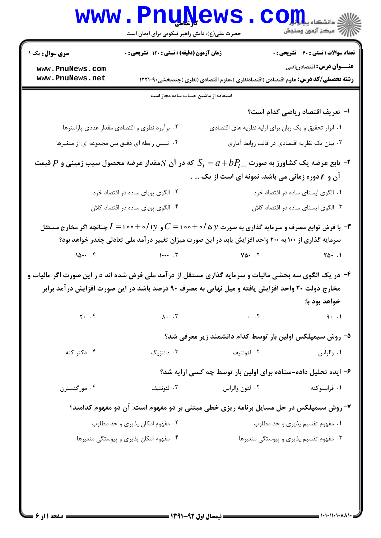|                                    | www.PnuNews                                                                                                                                                                                                                                                                                                                                                |                                                                                            | الله دانشگاه پیاه دانشگاه کاربانی<br>۱۳۸۸ میکن آزمون وسنجش |
|------------------------------------|------------------------------------------------------------------------------------------------------------------------------------------------------------------------------------------------------------------------------------------------------------------------------------------------------------------------------------------------------------|--------------------------------------------------------------------------------------------|------------------------------------------------------------|
| <b>سری سوال :</b> یک ۱             |                                                                                                                                                                                                                                                                                                                                                            | <b>تعداد سوالات : تستی : 40 - تشریحی : 0</b><br>زمان آزمون (دقیقه) : تستی : ۱۲۰ تشریحی : ۰ |                                                            |
| www.PnuNews.com<br>www.PnuNews.net |                                                                                                                                                                                                                                                                                                                                                            | <b>رشته تحصیلی/کد درس:</b> علوم اقتصادی (اقتصادنظری )،علوم اقتصادی (نظری )چندبخشی۱۲۲۱۰۹۰   | <b>عنـــوان درس:</b> اقتصادریاضی                           |
|                                    | استفاده از ماشین حساب ساده مجاز است                                                                                                                                                                                                                                                                                                                        |                                                                                            |                                                            |
|                                    |                                                                                                                                                                                                                                                                                                                                                            |                                                                                            | ا- تعريف اقتصاد رياضي كدام است؟                            |
|                                    | ۰۲ برآورد نظری و اقتصادی مقدار عددی پارامترها                                                                                                                                                                                                                                                                                                              | ۰۱ ابزار تحقیق و یک زبان برای ارایه نظریه های اقتصادی                                      |                                                            |
|                                    | ۰۴ تبیین رابطه ای دقیق بین مجموعه ای از متغیرها                                                                                                                                                                                                                                                                                                            |                                                                                            | ۰۳ بیان یک نظریه اقتصادی در قالب روابط آماری               |
|                                    | تابع عرضه یک کشاورز به صورت $P_{t-1}=A+b$ که در آن $S$ مقدار عرضه محصول سیب زمینی و $P$ قیمت $\vdash$                                                                                                                                                                                                                                                      | آن و $\boldsymbol{t}$ دوره زمانی می باشد، نمونه ای است از یک  .                            |                                                            |
|                                    | ۲. الگوی پویای ساده در اقتصاد خرد                                                                                                                                                                                                                                                                                                                          |                                                                                            | ۰۱ الگوی ایستای ساده در اقتصاد خرد                         |
|                                    | ۰۴ الگوی پویای ساده در اقتصاد کلان                                                                                                                                                                                                                                                                                                                         | ۰۳ الگوی ایستای ساده در اقتصاد کلان                                                        |                                                            |
| 10                                 | ا فرض توابع مصرف و سرمایه گذاری به صورت $\delta$ ۵ / ۰۰+۰۰۰ = $C=1$ و $I=1$ ۰۰+۰۰ چنانچه اگر مخارج مستقل $\blacksquare$<br>سرمایه گذاری از ۱۰۰ به ۲۰۰ واحد افزایش یابد در این صورت میزان تغییر درآمد ملی تعادلی چقدر خواهد بود؟<br>$\begin{array}{ccc} \uparrow & \cdots & \uparrow & \qquad & \qquad & \vee \vartriangle & \cdots & \uparrow \end{array}$ |                                                                                            | $\Upsilon \Delta + 1$                                      |
|                                    | ۴- در یک الگوی سه بخشی مالیات و سرمایه گذاری مستقل از درآمد ملی فرض شده اند د ر این صورت اگر مالیات و<br>مخارج دولت ۲۰ واحد افزایش یافته و میل نهایی به مصرف ۹۰ درصد باشد در این صورت افزایش درآمد برابر                                                                                                                                                   |                                                                                            | خواهد بود با:                                              |
| $Y.$ $\cdot$ $\uparrow$            | $\Lambda$ . $\mathcal{F}$                                                                                                                                                                                                                                                                                                                                  | $\cdot$ $\cdot$ $\cdot$ $\cdot$                                                            | 9.1                                                        |
|                                    |                                                                                                                                                                                                                                                                                                                                                            | ۵– روش سیمپلکس اولین بار توسط کدام دانشمند زیر معرفی شد؟                                   |                                                            |
| ۰۴ دکتر کنه                        | ۰۳ دانتزیگ                                                                                                                                                                                                                                                                                                                                                 | ۰۲ لئونتيف                                                                                 | ۰۱ والراس                                                  |
|                                    |                                                                                                                                                                                                                                                                                                                                                            | ۶– ایده تحلیل داده-ستاده برای اولین بار توسط چه کسی ارایه شد؟                              |                                                            |
| ۰۴ مورگنسترن                       | ۰۳ لئونتيف                                                                                                                                                                                                                                                                                                                                                 | ۰۲ لئون والراس                                                                             | ۰۱ فرانسوکنه                                               |
|                                    | ۷- روش سیمپلکس در حل مسایل برنامه ریزی خطی مبتنی بر دو مفهوم است. آن دو مفهوم کدامند؟                                                                                                                                                                                                                                                                      |                                                                                            |                                                            |
|                                    | ۰۲ مفهوم امکان پذیری و حد مطلوب                                                                                                                                                                                                                                                                                                                            |                                                                                            | ۰۱ مفهوم تقسیم پذیری و حد مطلوب                            |
|                                    | ۰۴ مفهوم امکان پذیری و پیوستگی متغیرها                                                                                                                                                                                                                                                                                                                     |                                                                                            | ۰۳ مفهوم تقسیم پذیری و پیوستگی متغیرها                     |
|                                    |                                                                                                                                                                                                                                                                                                                                                            |                                                                                            |                                                            |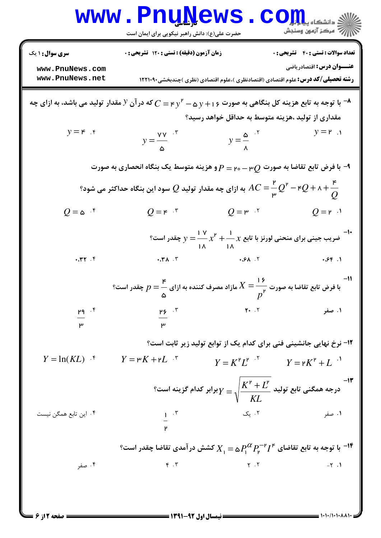$= 1.1 - (1.1 - A A)$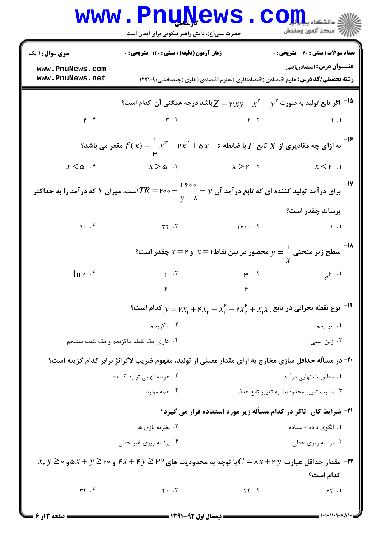|                                    | حضرت علی(ع): دانش راهبر نیکویی برای ایمان است           | <b>WWW.PNUNEWS.COL</b>                                                                                                                                                              | 7 مرڪز آزمون وسنڊش                           |
|------------------------------------|---------------------------------------------------------|-------------------------------------------------------------------------------------------------------------------------------------------------------------------------------------|----------------------------------------------|
| سری سوال : ۱ یک                    | زمان آزمون (دقیقه) : تستی : 120 تشریحی : 0              |                                                                                                                                                                                     | <b>تعداد سوالات : تستي : 40 - تشريحي : 0</b> |
| www.PnuNews.com<br>www.PnuNews.net |                                                         | <b>رشته تحصیلی/کد درس:</b> علوم اقتصادی (اقتصادنظری )،علوم اقتصادی (نظری )چندبخشی1۲۲۱۰۹۰                                                                                            | <b>عنـــوان درس:</b> اقتصادریاضی             |
|                                    |                                                         | اگر تابع تولید به صورت $x^{\mathsf{p}} - y^{\mathsf{p}} - x$ باشد درجه همگنی آن کدام است؟ $Z = \mu xy - x^{\mathsf{p}} - y^{\mathsf{p}}$                                            |                                              |
| $\mathfrak{r}$ . $\mathfrak{r}$    | $\mathbf{r}$ . $\mathbf{r}$                             | $\mathbf{Y}$ . $\mathbf{Y}$                                                                                                                                                         | $\mathcal{N}$ .                              |
|                                    |                                                         | به ازای چه مقادیری از $X$ تابع $F$ با ضابطه و $x+\Delta x + x'' - x'' - x'' = \frac{1}{\omega}$ مقعر می باشد؟                                                                       |                                              |
| $x < \omega$ f                     | $x > \omega$ . $\tau$                                   | $x > P$ . $Y$                                                                                                                                                                       | $x < r$ .                                    |
|                                    |                                                         | برای در آمد تولید کننده ای که تابع در آمد آن $y \doteq - \dfrac{1800}{y + \Delta} - r$ است، میزان $Y$ که در آمد را به حداکثر $y \doteq 1$                                           |                                              |
|                                    |                                                         |                                                                                                                                                                                     | برساند چقدر است؟                             |
| 1.7                                | $\gamma \gamma$ . $\gamma$                              | 157                                                                                                                                                                                 | $\mathcal{L}$ $\mathcal{L}$                  |
|                                    |                                                         | ا - سطح زیر منحنی $y=\frac{1}{y}$ محصور در بین نقاط ۱ $x=1$ و ۲ $x=$ چقدر است $^2$                                                                                                  |                                              |
| $ln P$ <sup>.*</sup>               | $\frac{1}{P}$ $\cdot^{\pi}$                             | $\frac{m}{r}$ . <sup>7</sup>                                                                                                                                                        | $e^{\mathsf{P}^{-1}}$                        |
|                                    |                                                         |                                                                                                                                                                                     |                                              |
|                                    |                                                         | ° نوع نقطه بحرانی در تابع $x_{\mathsf{p}} + x_{\mathsf{p}} - x_{\mathsf{p}} = x_{\mathsf{p}} + x_{\mathsf{p}} - x_{\mathsf{p}} = x_{\mathsf{p}} + x_{\mathsf{p}}$ کدام است $^{-1}$  |                                              |
|                                    | ۰۲ ماکزیمم<br>۰۴ دارای یک نقطه ماکزیمم و یک نقطه مینیمم |                                                                                                                                                                                     | ۰۱ مینیمم<br>۰۳ زین اسبی                     |
|                                    |                                                         | <b>۲۰</b> - در مسأله حداقل سازی مخارج به ازای مقدار معینی از تولید، مفهوم ضریب لاگرانژ برابر کدام گزینه است؟                                                                        |                                              |
|                                    | ۰۲ هزینه نهایی تولید کننده                              | ۰۱ مطلوبیت نهایی درآمد                                                                                                                                                              |                                              |
|                                    | ۰۴ همه موارد                                            | ۰۳ نسبت تغيير محدوديت به تغيير تابع هدف                                                                                                                                             |                                              |
|                                    |                                                         | ۲۱- شرایط کان-تاکر در کدام مسأله زیر مورد استفاده قرار می گیرد؟                                                                                                                     |                                              |
|                                    | ۰۲ نظریه بازی ها                                        |                                                                                                                                                                                     | ۰۱ الگوی داده - ستاده                        |
|                                    | ۰۴ برنامه ریزی غیر خطی                                  |                                                                                                                                                                                     | ۰۳ برنامه ریزی خطی                           |
|                                    |                                                         | $x,y \geq \mathfrak{o}$ ۶۳- مقدار حداقل عبارت $C = \mathfrak{o} x + \mathfrak{e} y \geq 0$ با توجه به محدودیت های ۳۲ $Y \geq \mathfrak{e} x + \mathfrak{e} y$ و ۲۰ $x \geq 0$ ه و ۰ | كدام است؟                                    |
| $\tau \cdot \tau$                  | $\mathcal{F}$ . $\mathcal{F}$                           | Y. 79                                                                                                                                                                               | 54.1                                         |
|                                    |                                                         |                                                                                                                                                                                     |                                              |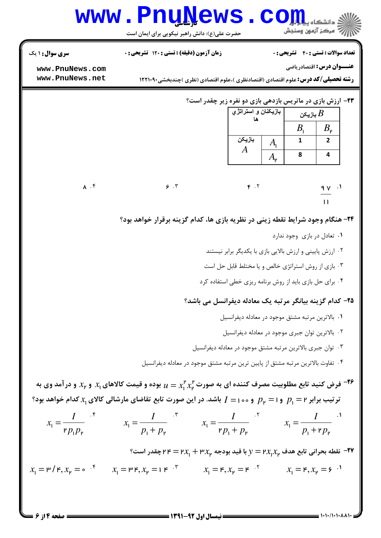## **www.PnuNews.com** ||// مرکز آزمون وسنجش

حضرت علی(ع): دانش راهبر نیکویی برای ایمان است

**تعداد سوالات : تستي : 40 - تشريحي : 0** 

زمان آزمون (دقیقه) : تستی : 120 تشریحی : 0

<mark>سری سوال :</mark> ۱ یک

عنـــوان درس: اقتصادرياضي

www.PnuNews.com www.PnuNews.net

**رشته تحصیلی/کد درس:** علوم اقتصادی (اقتصادنظری )،علوم اقتصادی (نظری )چندبخشی1۲۲۱۰۹۰

۲۳- ارزش بازی در ماتریس بازدهی بازی دو نفره زیر چقدر است؟ بازیکنان و استراتژی بازيكن  $B$  $B_{\rm P}$  $B_{\rm i}$ باز يكن  $\mathbf{1}$  $\overline{2}$  $A_{\rm l}$  $\boldsymbol{A}$ 8  $\overline{a}$  $A_{\mathbf{u}}$ 

 $\Lambda$ . ۴  $9.7$  $F \cdot Y$  $9V.1$  $\overline{11}$ 

۲۴- هنگام وجود شرایط نقطه زینی در نظریه بازی ها، کدام گزینه برقرار خواهد بود؟

٠١ تعادل در بازي وجود ندارد

 $= 1.11/1.1.1.11$ 

- ۰۲ ارزش پایینی و ارزش بالایی بازی با یکدیگر برابر نیستند
- ۰۳ بازی از روش استراتژی خالص و یا مختلط قابل حل است
- ۰۴ برای حل بازی باید از روش برنامه ریزی خطی استفاده کرد

## ۲۵- کدام گزینه بیانگر مرتبه یک معادله دیفرانسل می باشد؟

- ٠١ بالاترين مرتبه مشتق موجود در معادله ديفرانسيل
- ۰۲ بالاترین توان جبری موجود در معادله دیفرانسیل
- ۰۳ توان جبری بالاترین مرتبه مشتق موجود در معادله دیفرانسیل
- ۰۴ تفاوت بالاترین مرتبه مشتق از پایین ترین مرتبه مشتق موجود در معادله دیفرانسیل

فرض کنید تابع مطلوبیت مصرف کننده ای به صورت  $x^\mathsf{P}_\mathsf{r} x^\mathsf{P}_\mathsf{u}=x^\mathsf{P}_\mathsf{r} x^\mathsf{P}_\mathsf{u}$  بوده و قیمت کالاهای  $X_\mathsf{p}$  و ب $X_\mathsf{p}$  و در آمد وی به ترتیب برابر ۲ $p_1 = p_1 = p_2 = 1$  و ۱۰۵ $I = I$  باشد. در این صورت تابع تقاضای مارشالی کالای  $x_1$ کدام خواهد بود؟

$$
x_1 = \frac{I}{r p_1 p_r} + x_1 = \frac{I}{p_1 + p_r} + x_1 = \frac{I}{r p_1 + p_r} + x_1 = \frac{I}{r p_1 + p_r} + x_1 = \frac{I}{p_1 + p_r} + x_1 = \frac{I}{r p_1 + r p_r}
$$

? اقید بحرانی تابع هدف  $y = \mathsf{P} x_1 x_\mathsf{p}$  با قید بودجه  $\chi_\mathsf{p} = \mathsf{P} x_1 + \mathsf{P} x_\mathsf{p}$  با قید بود $\mathsf{P}$ 

 $x_1 = \mathbf{F} / \mathbf{F}, x_2 = \mathbf{F}$   $\mathbf{F} = \mathbf{F} / \mathbf{F}, x_1 = \mathbf{F} / \mathbf{F}$   $\mathbf{F} = \mathbf{F} / \mathbf{F}$   $\mathbf{F} = \mathbf{F} / \mathbf{F}$   $\mathbf{F} = \mathbf{F} / \mathbf{F}, x_1 = \mathbf{F} / \mathbf{F}$ 

صفحه ۱۴ز ۶ =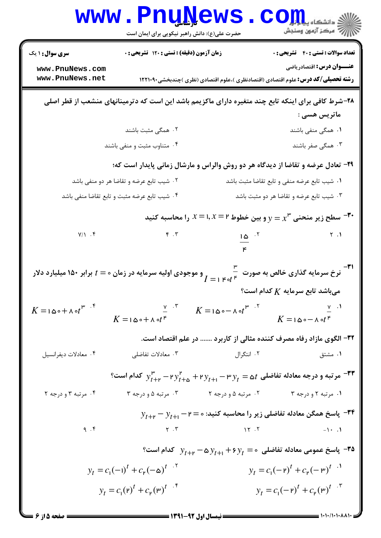**صفحه 5 از ۶ =**